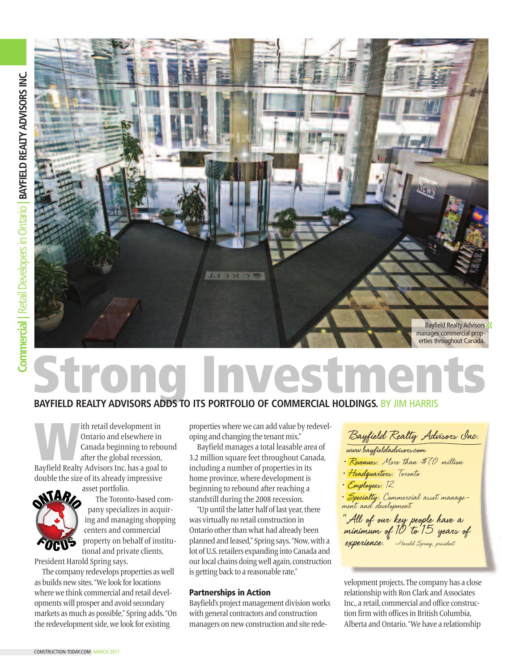

# **Vestmer**

### **BAYFIELD REALTY ADVISORS ADDS TO ITS PORTFOLIO OF COMMERCIAL HOLDINGS.** BY JIM HARRIS

Ith retail development in<br>
Ontario and elsewhere in<br>
Canada beginning to rebou<br>
after the global recession,<br>
Bayfield Realty Advisors Inc. has a goal to Ontario and elsewhere in Canada beginning to rebound after the global recession, double the size of its already impressive



asset portfolio. The Toronto-based company specializes in acquiring and managing shopping centers and commercial property on behalf of institutional and private clients,

President Harold Spring says.

The company redevelops properties as well as builds new sites. "We look for locations where we think commercial and retail developmentswill prosper and avoid secondary markets as much as possible," Spring adds."On the redevelopment side, we look for existing

properties where we can add value by redeveloping and changing the tenant mix."

Bayfield manages a total leasable area of 3.2 million square feet throughout Canada, including a number of properties in its home province, where development is beginning to rebound after reaching a standstill during the 2008 recession.

"Up until the latter half of last year, there was virtually no retail construction in Ontario other than what had already been planned and leased," Spring says."Now,with a lot of U.S.retailers expanding into Canada and our local chains doing well again, construction is getting back to a reasonable rate."

#### Partnerships in Action

Bayfield's project management divisionworks with general contractors and construction managers on newconstruction and site rede-

**Bayfield Realty Advisors Inc.**

- 
- 
- 

**• Revenues:** More than \$70 million<br>• **Headquarters:** Toronto<br>• Employees: 12<br>• Specialty: Commercial asset manage-<br>ment and development

**"All of our key people have <sup>a</sup> minimum of <sup>10</sup> to <sup>15</sup> years of experience."** –Harold Spring, president

velopment projects. The company has a close relationshipwith Ron Clark and Associates Inc., a retail, commercial and office construction firm with offices in British Columbia. Alberta and Ontario."We have a relationship